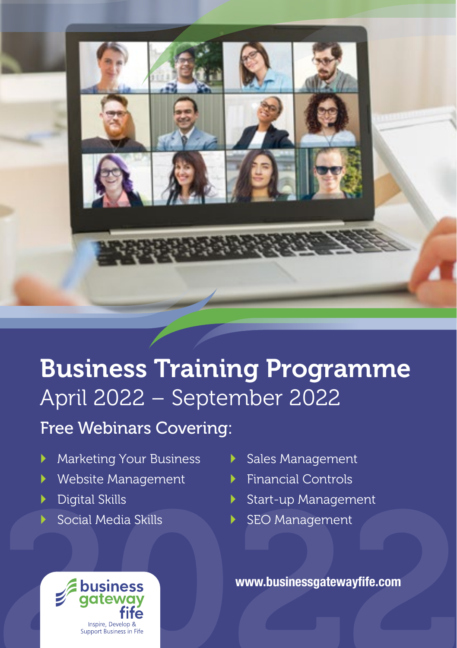

# Business Training Programme April 2022 – September 2022

Free Webinars Covering:

- **Marketing Your Business**
- ▶ Website Management
- ▶ Digital Skills
- Social Media Skills
- Sales Management
- $\blacktriangleright$  Financial Controls
- Start-up Management
- SEO Management

**www.businessgatewayfife.com**

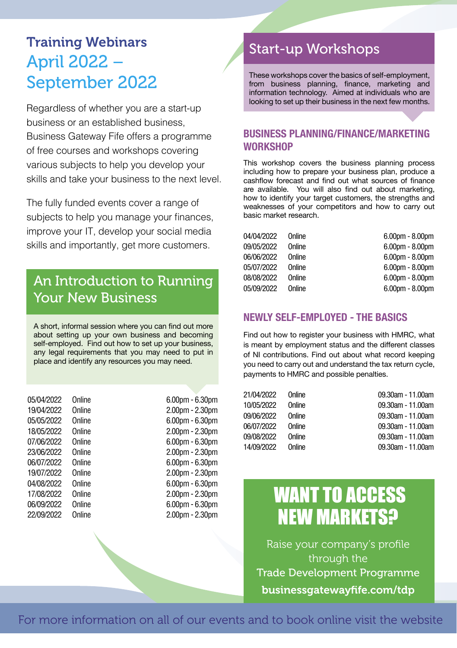### Training Webinars April 2022 – September 2022

Regardless of whether you are a start-up business or an established business, Business Gateway Fife offers a programme of free courses and workshops covering various subjects to help you develop your skills and take your business to the next level.

The fully funded events cover a range of subjects to help you manage your finances, improve your IT, develop your social media skills and importantly, get more customers.

### An Introduction to Running Your New Business

A short, informal session where you can find out more about setting up your own business and becoming self-employed. Find out how to set up your business. any legal requirements that you may need to put in place and identify any resources you may need.

| 05/04/2022 | Online | 6.00pm - 6.30pm       |
|------------|--------|-----------------------|
| 19/04/2022 | Online | 2.00pm - 2.30pm       |
| 05/05/2022 | Online | $6.00$ pm - $6.30$ pm |
| 18/05/2022 | Online | 2.00pm - 2.30pm       |
| 07/06/2022 | Online | $6.00$ pm - $6.30$ pm |
| 23/06/2022 | Online | 2.00pm - 2.30pm       |
| 06/07/2022 | Online | 6.00pm - 6.30pm       |
| 19/07/2022 | Online | 2.00pm - 2.30pm       |
| 04/08/2022 | Online | 6.00pm - 6.30pm       |
| 17/08/2022 | Online | 2.00pm - 2.30pm       |
| 06/09/2022 | Online | 6.00pm - 6.30pm       |
| 22/09/2022 | Online | 2.00pm - 2.30pm       |
|            |        |                       |

### Start-up Workshops

These workshops cover the basics of self-employment, from business planning, finance, marketing and information technology. Aimed at individuals who are looking to set up their business in the next few months.

#### **BUSINESS PLANNING/FINANCE/MARKETING WORKSHOP**

This workshop covers the business planning process including how to prepare your business plan, produce a cashflow forecast and find out what sources of finance are available. You will also find out about marketing, how to identify your target customers, the strengths and weaknesses of your competitors and how to carry out basic market research.

| $6.00$ pm - $8.00$ pm<br>Online |  |
|---------------------------------|--|
| $6.00$ pm - $8.00$ pm<br>Online |  |
| $6.00$ pm - $8.00$ pm<br>Online |  |
| $6.00$ pm - $8.00$ pm<br>Online |  |
| $6.00$ pm - $8.00$ pm<br>Online |  |
| $6.00$ pm - $8.00$ pm<br>Online |  |
|                                 |  |

#### **NEWLY SELF-EMPLOYED - THE BASICS**

Find out how to register your business with HMRC, what is meant by employment status and the different classes of NI contributions. Find out about what record keeping you need to carry out and understand the tax return cycle, payments to HMRC and possible penalties.

| 21/04/2022 | Online | 09.30am - 11.00am |
|------------|--------|-------------------|
| 10/05/2022 | Online | 09.30am - 11.00am |
| 09/06/2022 | Online | 09.30am - 11.00am |
| 06/07/2022 | Online | 09.30am - 11.00am |
| 09/08/2022 | Online | 09.30am - 11.00am |
| 14/09/2022 | Online | 09.30am - 11.00am |

# WANT TO ACCESS NEW MARKETS?

Raise your company's profile through the Trade Development Programme businessgatewayfife.com/tdp

For more information on all of our events and to book online visit the website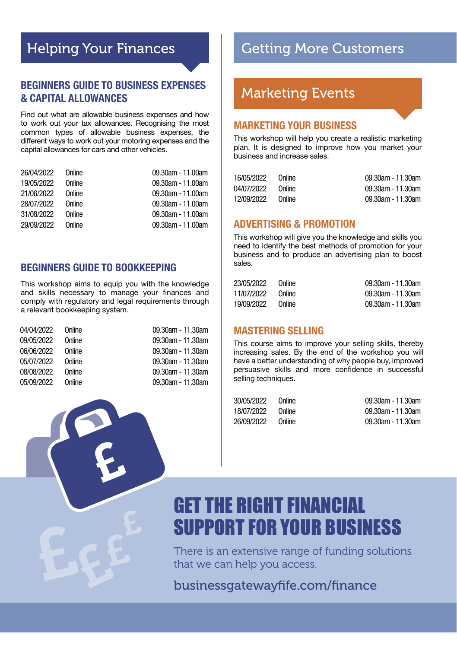### Helping Your Finances

#### **BEGINNERS GUIDE TO BUSINESS EXPENSES & CAPITAL ALLOWANCES**

Find out what are allowable business expenses and how to work out your tax allowances. Recognising the most common types of allowable business expenses, the different ways to work out your motoring expenses and the capital allowances for cars and other vehicles.

| 26/04/2022 | Online | 09.30am - 11.00am |
|------------|--------|-------------------|
| 19/05/2022 | Online | 09.30am - 11.00am |
| 21/06/2022 | Online | 09.30am - 11.00am |
| 28/07/2022 | Online | 09.30am - 11.00am |
| 31/08/2022 | Online | 09.30am - 11.00am |
| 29/09/2022 | Online | 09.30am - 11.00am |

#### **BEGINNERS GUIDE TO BOOKKEEPING**

This workshop aims to equip you with the knowledge and skills necessary to manage your finances and comply with regulatory and legal requirements through a relevant bookkeeping system.

| 04/04/2022                             | Online | 09.30am - 11.30am |
|----------------------------------------|--------|-------------------|
| 09/05/2022<br>06/06/2022<br>05/07/2022 | Online | 09.30am - 11.30am |
|                                        | Online | 09.30am - 11.30am |
|                                        | Online | 09.30am - 11.30am |
| 08/08/2022                             | Online | 09.30am - 11.30am |
| 05/09/2022                             | Online | 09.30am - 11.30am |

### Getting More Customers

### Marketing Events

#### **MARKETING YOUR BUSINESS**

This workshop will help you create a realistic marketing plan. It is designed to improve how you market your business and increase sales.

| 16/05/2022 | Online | 09.30am - 11.30am |
|------------|--------|-------------------|
| 04/07/2022 | Online | 09.30am - 11.30am |
| 12/09/2022 | Online | 09.30am - 11.30am |

#### **ADVERTISING & PROMOTION**

This workshop will give you the knowledge and skills you need to identify the best methods of promotion for your business and to produce an advertising plan to boost sales.

| 23/05/2022 | Online | 09.30am - 11.30am |
|------------|--------|-------------------|
| 11/07/2022 | Online | 09.30am - 11.30am |
| 19/09/2022 | Online | 09.30am - 11.30am |

#### **MASTERING SELLING**

This course aims to improve your selling skills, thereby increasing sales. By the end of the workshop you will have a better understanding of why people buy, improved persuasive skills and more confidence in successful selling techniques.

| Online | 09.30am - 11.30am |
|--------|-------------------|
| Online | 09.30am - 11.30am |
| Online | 09.30am - 11.30am |
|        |                   |

# GET THE RIGHT FINANCIAL SUPPORT FOR YOUR BUSINESS

There is an extensive range of funding solutions that we can help you access.

businessgatewayfife.com/finance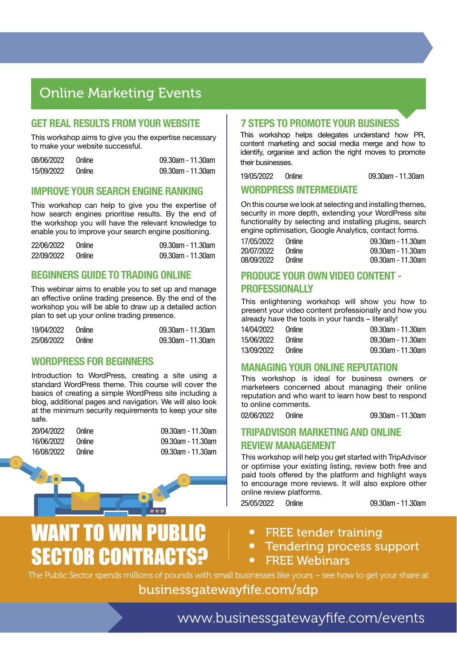### Online Marketing Events

#### **GET REAL RESULTS FROM YOUR WEBSITE**

This workshop aims to give you the expertise necessary to make your website successful.

| 08/06/2022 | Online | 09.30am - 11.30am |
|------------|--------|-------------------|
| 15/09/2022 | Online | 09.30am - 11.30am |

#### **IMPROVE YOUR SEARCH ENGINE RANKING**

This workshop can help to give you the expertise of how search engines prioritise results. By the end of the workshop you will have the relevant knowledge to enable you to improve your search engine positioning.

| 22/06/2022 | Online | 09.30am - 11.30am |
|------------|--------|-------------------|
| 22/09/2022 | Online | 09.30am - 11.30am |

#### **BEGINNERS GUIDE TO TRADING ONLINE**

This webinar aims to enable you to set up and manage an effective online trading presence. By the end of the workshop you will be able to draw up a detailed action plan to set up your online trading presence.

| 19/04/2022 | Online | 09.30am - 11.30am |
|------------|--------|-------------------|
| 25/08/2022 | Online | 09.30am - 11.30am |

#### **WORDPRESS FOR BEGINNERS**

Introduction to WordPress, creating a site using a standard WordPress theme. This course will cover the basics of creating a simple WordPress site including a blog, additional pages and navigation. We will also look at the minimum security requirements to keep your site safe.

20/04/2022 Online 09.30am - 11.30am 16/06/2022 Online 09.30am - 11.30am 16/08/2022 Online 09.30am - 11.30am



# WANT TO WIN PUBLIC SECTOR CONTRACTS?

#### **7 STEPS TO PROMOTE YOUR BUSINESS**

This workshop helps delegates understand how PR. content marketing and social media merge and how to identify, organise and action the right moves to promote their businesses.

19/05/2022 Online 09.30am - 11.30am

#### **WORDPRESS INTERMEDIATE**

On this course we look at selecting and installing themes, security in more depth, extending your WordPress site functionality by selecting and installing plugins, search engine optimisation, Google Analytics, contact forms.

| 17/05/2022 | Online | 09.30am - 11.30am |
|------------|--------|-------------------|
| 20/07/2022 | Online | 09.30am - 11.30am |
| 08/09/2022 | Online | 09.30am - 11.30am |

#### **PRODUCE YOUR OWN VIDEO CONTENT - PROFESSIONAL LY**

This enlightening workshop will show you how to present your video content professionally and how you already have the tools in your hands – literally!

| 14/04/2022 | Online | 09.30am - 11.30am |
|------------|--------|-------------------|
| 15/06/2022 | Online | 09.30am - 11.30am |
| 13/09/2022 | Online | 09.30am - 11.30am |

#### **MANAGING YOUR ONLINE REPUTATION**

This workshop is ideal for business owners or marketeers concerned about managing their online reputation and who want to learn how best to respond to online comments.

02/06/2022 Online 09.30am - 11.30am

#### **TRIPADVISOR MARKETING AND ONLINE REVIEW MANAGEMENT**

This workshop will help you get started with TripAdvisor or optimise your existing listing, review both free and paid tools offered by the platform and highlight ways to encourage more reviews. It will also explore other online review platforms.

25/05/2022 Online 09.30am - 11.30am

- FREE tender training
- Tendering process support
- **FREE Webinars**

The Public Sector spends millions of pounds with small businesses like yours – see how to get your share at

businessgatewayfife.com/sdp

www.businessgatewayfife.com/events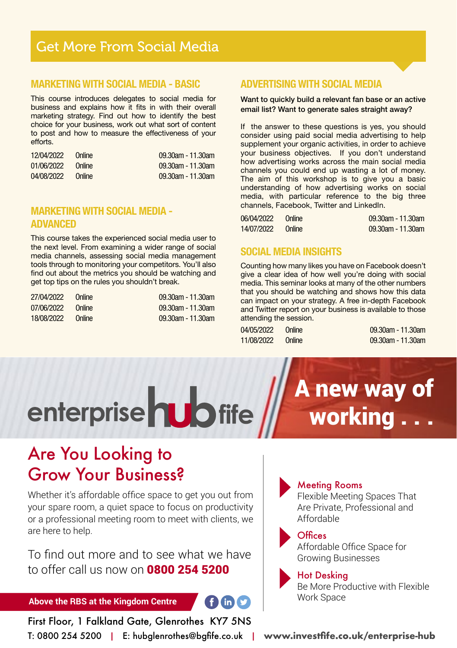### Get More From Social Media

#### **MARKETING WITH SOCIAL MEDIA - BASIC**

This course introduces delegates to social media for business and explains how it fits in with their overall marketing strategy. Find out how to identify the best choice for your business, work out what sort of content to post and how to measure the effectiveness of your efforts.

| 12/04/2022 | <b>Online</b> | 09.30am - 11.30am |
|------------|---------------|-------------------|
| 01/06/2022 | Online        | 09.30am - 11.30am |
| 04/08/2022 | Online        | 09.30am - 11.30am |

#### **MARKETING WITH SOCIAL MEDIA - ADVANCED**

This course takes the experienced social media user to the next level. From examining a wider range of social media channels, assessing social media management tools through to monitoring your competitors. You'll also find out about the metrics you should be watching and get top tips on the rules you shouldn't break.

| 27/04/2022 Online |        | 09.30am - 11.30am |
|-------------------|--------|-------------------|
| 07/06/2022        | Online | 09.30am - 11.30am |
| 18/08/2022        | Online | 09.30am - 11.30am |

#### **ADVERTISING WITH SOCIAL MEDIA**

Want to quickly build a relevant fan base or an active email list? Want to generate sales straight away?

If the answer to these questions is yes, you should consider using paid social media advertising to help supplement your organic activities, in order to achieve your business objectives. If you don't understand how advertising works across the main social media channels you could end up wasting a lot of money. The aim of this workshop is to give you a basic understanding of how advertising works on social media, with particular reference to the big three channels, Facebook, Twitter and LinkedIn.

| 06/04/2022 | Online | 09.30am - 11.30am |
|------------|--------|-------------------|
| 14/07/2022 | Online | 09.30am - 11.30am |

#### **SOCIAL MEDIA INSIGHTS**

Counting how many likes you have on Facebook doesn't give a clear idea of how well you're doing with social media. This seminar looks at many of the other numbers that you should be watching and shows how this data can impact on your strategy. A free in-depth Facebook and Twitter report on your business is available to those attending the session.

| 04/05/2022 | Online | $09.30$ am - 11.30am |
|------------|--------|----------------------|
| 11/08/2022 | Online | 09.30am - 11.30am    |

# A new way of working

## Are You Looking to Grow Your Business?

Whether it's affordable office space to get you out from your spare room, a quiet space to focus on productivity or a professional meeting room to meet with clients, we are here to help.

enterprise **ub** fife

To find out more and to see what we have to offer call us now on **0800 254 5200** 

**Above the RBS at the Kingdom Centre**

First Floor, 1 Falkland Gate, Glenrothes KY7 5NS T: 0800 254 5200 | E: hubglenrothes@bgfife.co.uk | **www.investfife.co.uk/enterprise-hub**

#### Meeting Rooms

Flexible Meeting Spaces That Are Private, Professional and Affordable

#### **Offices**

 $f$  in  $\Omega$ 

Affordable Office Space for Growing Businesses

#### Hot Desking

Be More Productive with Flexible Work Space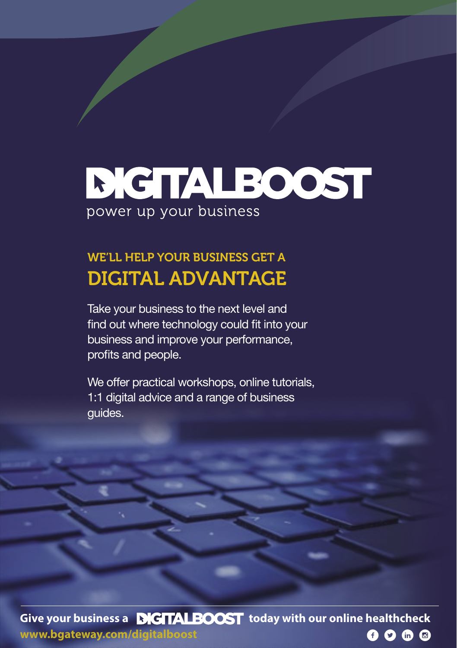# **DIGITALBOOST** power up your business

### WE'LL HELP YOUR BUSINESS GET A DIGITAL ADVANTAGE

Take your business to the next level and find out where technology could fit into your business and improve your performance, profits and people.

We offer practical workshops, online tutorials, 1:1 digital advice and a range of business guides.

**Give your business a <b>DIGTALBOOST** today with our online healthcheck **www.bgateway.com/digitalboost**  $0000$